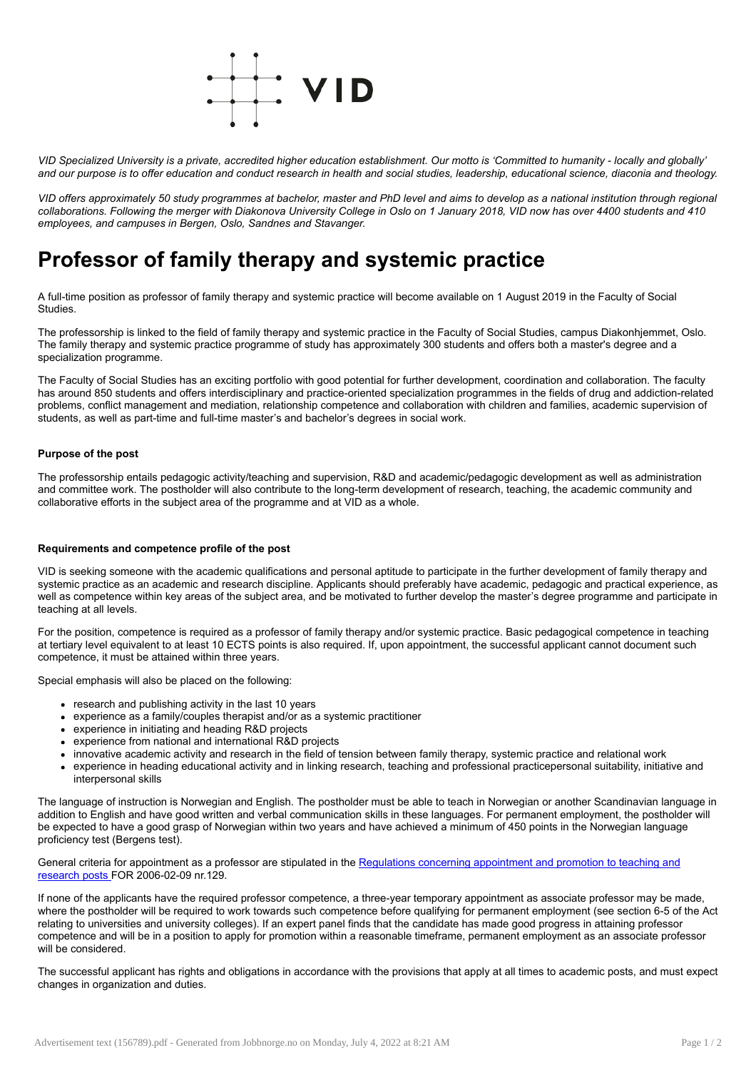

VID Specialized University is a private, accredited higher education establishment. Our motto is 'Committed to humanity - locally and globally' and our purpose is to offer education and conduct research in health and social studies, leadership, educational science, diaconia and theology.

VID offers approximately 50 study programmes at bachelor, master and PhD level and aims to develop as a national institution through regional collaborations. Following the merger with Diakonova University College in Oslo on 1 January 2018. VID now has over 4400 students and 410 *employees, and campuses in Bergen, Oslo, Sandnes and Stavanger.*

# Professor of family therapy and systemic practice

A full-time position as professor of family therapy and systemic practice will become available on 1 August 2019 in the Faculty of Social Studies.

The professorship is linked to the field of family therapy and systemic practice in the Faculty of Social Studies, campus Diakonhjemmet, Oslo. The family therapy and systemic practice programme of study has approximately 300 students and offers both a master's degree and a specialization programme.

The Faculty of Social Studies has an exciting portfolio with good potential for further development, coordination and collaboration. The faculty has around 850 students and offers interdisciplinary and practice-oriented specialization programmes in the fields of drug and addiction-related problems, conflict management and mediation, relationship competence and collaboration with children and families, academic supervision of students, as well as part-time and full-time master's and bachelor's degrees in social work.

### Purpose of the post

The professorship entails pedagogic activity/teaching and supervision, R&D and academic/pedagogic development as well as administration and committee work. The postholder will also contribute to the long-term development of research, teaching, the academic community and collaborative efforts in the subject area of the programme and at VID as a whole.

#### Requirements and competence profile of the post

VID is seeking someone with the academic qualifications and personal aptitude to participate in the further development of family therapy and systemic practice as an academic and research discipline. Applicants should preferably have academic, pedagogic and practical experience, as well as competence within key areas of the subject area, and be motivated to further develop the master's degree programme and participate in teaching at all levels.

For the position, competence is required as a professor of family therapy and/or systemic practice. Basic pedagogical competence in teaching at tertiary level equivalent to at least 10 ECTS points is also required. If, upon appointment, the successful applicant cannot document such competence, it must be attained within three years.

Special emphasis will also be placed on the following:

- research and publishing activity in the last 10 years
- experience as a family/couples therapist and/or as a systemic practitioner
- experience in initiating and heading R&D projects
- experience from national and international R&D projects
- innovative academic activity and research in the field of tension between family therapy, systemic practice and relational work
- experience in heading educational activity and in linking research, teaching and professional practicepersonal suitability, initiative and interpersonal skills

The language of instruction is Norwegian and English. The postholder must be able to teach in Norwegian or another Scandinavian language in addition to English and have good written and verbal communication skills in these languages. For permanent employment, the postholder will be expected to have a good grasp of Norwegian within two years and have achieved a minimum of 450 points in the Norwegian language proficiency test (Bergens test).

General criteria for [appointment](https://www.regjeringen.no/contentassets/080152471ecf40648b6cec648c2e37bc/forskrift-om-ansettelse-og-opprykk---engelsk-utgave.pdf) as a professor are stipulated in the Regulations concerning appointment and promotion to teaching and research posts FOR 2006-02-09 nr.129.

If none of the applicants have the required professor competence, a three-year temporary appointment as associate professor may be made, where the postholder will be required to work towards such competence before qualifying for permanent employment (see section 6-5 of the Act relating to universities and university colleges). If an expert panel finds that the candidate has made good progress in attaining professor competence and will be in a position to apply for promotion within a reasonable timeframe, permanent employment as an associate professor will be considered.

The successful applicant has rights and obligations in accordance with the provisions that apply at all times to academic posts, and must expect changes in organization and duties.